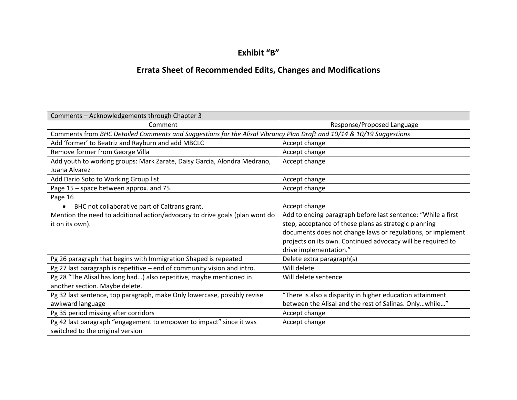## **Exhibit "B"**

## **Errata Sheet of Recommended Edits, Changes and Modifications**

| Comments - Acknowledgements through Chapter 3                                                                        |                                                              |  |
|----------------------------------------------------------------------------------------------------------------------|--------------------------------------------------------------|--|
| Comment                                                                                                              | Response/Proposed Language                                   |  |
| Comments from BHC Detailed Comments and Suggestions for the Alisal Vibrancy Plan Draft and 10/14 & 10/19 Suggestions |                                                              |  |
| Add 'former' to Beatriz and Rayburn and add MBCLC                                                                    | Accept change                                                |  |
| Remove former from George Villa                                                                                      | Accept change                                                |  |
| Add youth to working groups: Mark Zarate, Daisy Garcia, Alondra Medrano,                                             | Accept change                                                |  |
| Juana Alvarez                                                                                                        |                                                              |  |
| Add Dario Soto to Working Group list                                                                                 | Accept change                                                |  |
| Page 15 - space between approx. and 75.                                                                              | Accept change                                                |  |
| Page 16                                                                                                              |                                                              |  |
| BHC not collaborative part of Caltrans grant.                                                                        | Accept change                                                |  |
| Mention the need to additional action/advocacy to drive goals (plan wont do                                          | Add to ending paragraph before last sentence: "While a first |  |
| it on its own).                                                                                                      | step, acceptance of these plans as strategic planning        |  |
|                                                                                                                      | documents does not change laws or regulations, or implement  |  |
|                                                                                                                      | projects on its own. Continued advocacy will be required to  |  |
|                                                                                                                      | drive implementation."                                       |  |
| Pg 26 paragraph that begins with Immigration Shaped is repeated                                                      | Delete extra paragraph(s)                                    |  |
| Pg 27 last paragraph is repetitive - end of community vision and intro.                                              | Will delete                                                  |  |
| Pg 28 "The Alisal has long had) also repetitive, maybe mentioned in                                                  | Will delete sentence                                         |  |
| another section. Maybe delete.                                                                                       |                                                              |  |
| Pg 32 last sentence, top paragraph, make Only lowercase, possibly revise                                             | "There is also a disparity in higher education attainment    |  |
| awkward language                                                                                                     | between the Alisal and the rest of Salinas. Onlywhile"       |  |
| Pg 35 period missing after corridors                                                                                 | Accept change                                                |  |
| Pg 42 last paragraph "engagement to empower to impact" since it was                                                  | Accept change                                                |  |
| switched to the original version                                                                                     |                                                              |  |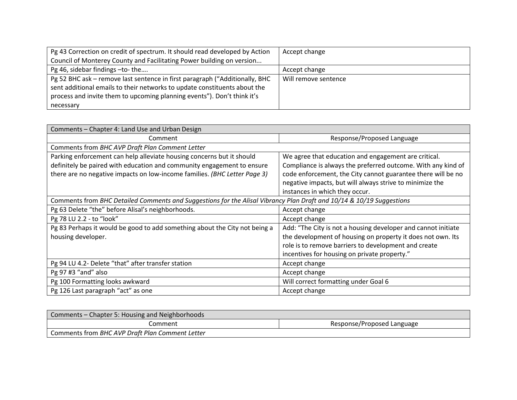| Pg 43 Correction on credit of spectrum. It should read developed by Action  | Accept change        |
|-----------------------------------------------------------------------------|----------------------|
| Council of Monterey County and Facilitating Power building on version       |                      |
| Pg 46, sidebar findings -to- the                                            | Accept change        |
| Pg 52 BHC ask - remove last sentence in first paragraph ("Additionally, BHC | Will remove sentence |
| sent additional emails to their networks to update constituents about the   |                      |
| process and invite them to upcoming planning events"). Don't think it's     |                      |
| necessary                                                                   |                      |

| Comments - Chapter 4: Land Use and Urban Design                                                                      |                                                               |
|----------------------------------------------------------------------------------------------------------------------|---------------------------------------------------------------|
| Comment                                                                                                              | Response/Proposed Language                                    |
| Comments from BHC AVP Draft Plan Comment Letter                                                                      |                                                               |
| Parking enforcement can help alleviate housing concerns but it should                                                | We agree that education and engagement are critical.          |
| definitely be paired with education and community engagement to ensure                                               | Compliance is always the preferred outcome. With any kind of  |
| there are no negative impacts on low-income families. (BHC Letter Page 3)                                            | code enforcement, the City cannot guarantee there will be no  |
|                                                                                                                      | negative impacts, but will always strive to minimize the      |
|                                                                                                                      | instances in which they occur.                                |
| Comments from BHC Detailed Comments and Suggestions for the Alisal Vibrancy Plan Draft and 10/14 & 10/19 Suggestions |                                                               |
| Pg 63 Delete "the" before Alisal's neighborhoods.                                                                    | Accept change                                                 |
| Pg 78 LU 2.2 - to "look"                                                                                             | Accept change                                                 |
| Pg 83 Perhaps it would be good to add something about the City not being a                                           | Add: "The City is not a housing developer and cannot initiate |
| housing developer.                                                                                                   | the development of housing on property it does not own. Its   |
|                                                                                                                      | role is to remove barriers to development and create          |
|                                                                                                                      | incentives for housing on private property."                  |
| Pg 94 LU 4.2- Delete "that" after transfer station                                                                   | Accept change                                                 |
| Pg 97 #3 "and" also                                                                                                  | Accept change                                                 |
| Pg 100 Formatting looks awkward                                                                                      | Will correct formatting under Goal 6                          |
| Pg 126 Last paragraph "act" as one                                                                                   | Accept change                                                 |

| Comments – Chapter 5: Housing and Neighborhoods |                            |
|-------------------------------------------------|----------------------------|
| Comment                                         | Response/Proposed Language |
| Comments from BHC AVP Draft Plan Comment Letter |                            |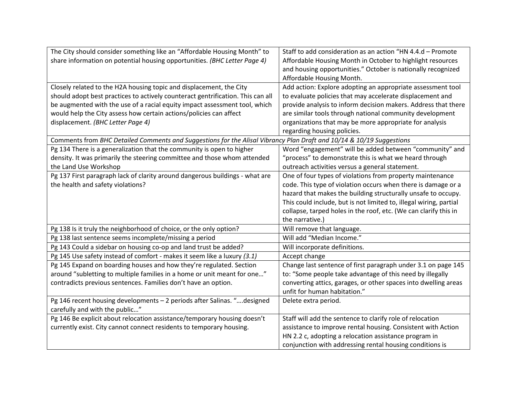| The City should consider something like an "Affordable Housing Month" to                                             | Staff to add consideration as an action "HN 4.4.d - Promote        |
|----------------------------------------------------------------------------------------------------------------------|--------------------------------------------------------------------|
| share information on potential housing opportunities. (BHC Letter Page 4)                                            | Affordable Housing Month in October to highlight resources         |
|                                                                                                                      | and housing opportunities." October is nationally recognized       |
|                                                                                                                      | Affordable Housing Month.                                          |
| Closely related to the H2A housing topic and displacement, the City                                                  | Add action: Explore adopting an appropriate assessment tool        |
| should adopt best practices to actively counteract gentrification. This can all                                      | to evaluate policies that may accelerate displacement and          |
| be augmented with the use of a racial equity impact assessment tool, which                                           | provide analysis to inform decision makers. Address that there     |
| would help the City assess how certain actions/policies can affect                                                   | are similar tools through national community development           |
| displacement. (BHC Letter Page 4)                                                                                    | organizations that may be more appropriate for analysis            |
|                                                                                                                      | regarding housing policies.                                        |
| Comments from BHC Detailed Comments and Suggestions for the Alisal Vibrancy Plan Draft and 10/14 & 10/19 Suggestions |                                                                    |
| Pg 134 There is a generalization that the community is open to higher                                                | Word "engagement" will be added between "community" and            |
| density. It was primarily the steering committee and those whom attended                                             | "process" to demonstrate this is what we heard through             |
| the Land Use Workshop                                                                                                | outreach activities versus a general statement.                    |
| Pg 137 First paragraph lack of clarity around dangerous buildings - what are                                         | One of four types of violations from property maintenance          |
| the health and safety violations?                                                                                    | code. This type of violation occurs when there is damage or a      |
|                                                                                                                      | hazard that makes the building structurally unsafe to occupy.      |
|                                                                                                                      | This could include, but is not limited to, illegal wiring, partial |
|                                                                                                                      | collapse, tarped holes in the roof, etc. (We can clarify this in   |
|                                                                                                                      | the narrative.)                                                    |
| Pg 138 Is it truly the neighborhood of choice, or the only option?                                                   | Will remove that language.                                         |
| Pg 138 last sentence seems incomplete/missing a period                                                               | Will add "Median Income."                                          |
| Pg 143 Could a sidebar on housing co-op and land trust be added?                                                     | Will incorporate definitions.                                      |
| Pg 145 Use safety instead of comfort - makes it seem like a luxury (3.1)                                             | Accept change                                                      |
| Pg 145 Expand on boarding houses and how they're regulated. Section                                                  | Change last sentence of first paragraph under 3.1 on page 145      |
| around "subletting to multiple families in a home or unit meant for one"                                             | to: "Some people take advantage of this need by illegally          |
| contradicts previous sentences. Families don't have an option.                                                       | converting attics, garages, or other spaces into dwelling areas    |
|                                                                                                                      | unfit for human habitation."                                       |
| Pg 146 recent housing developments - 2 periods after Salinas. " designed                                             | Delete extra period.                                               |
| carefully and with the public"                                                                                       |                                                                    |
| Pg 146 Be explicit about relocation assistance/temporary housing doesn't                                             | Staff will add the sentence to clarify role of relocation          |
| currently exist. City cannot connect residents to temporary housing.                                                 | assistance to improve rental housing. Consistent with Action       |
|                                                                                                                      | HN 2.2 c, adopting a relocation assistance program in              |
|                                                                                                                      | conjunction with addressing rental housing conditions is           |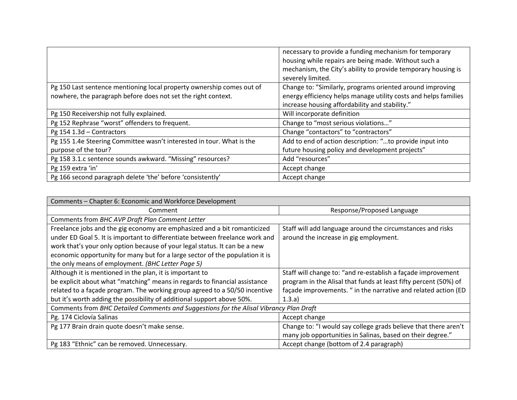|                                                                       | necessary to provide a funding mechanism for temporary          |
|-----------------------------------------------------------------------|-----------------------------------------------------------------|
|                                                                       | housing while repairs are being made. Without such a            |
|                                                                       | mechanism, the City's ability to provide temporary housing is   |
|                                                                       | severely limited.                                               |
| Pg 150 Last sentence mentioning local property ownership comes out of | Change to: "Similarly, programs oriented around improving       |
| nowhere, the paragraph before does not set the right context.         | energy efficiency helps manage utility costs and helps families |
|                                                                       | increase housing affordability and stability."                  |
| Pg 150 Receivership not fully explained.                              | Will incorporate definition                                     |
| Pg 152 Rephrase "worst" offenders to frequent.                        | Change to "most serious violations"                             |
| Pg 154 1.3d - Contractors                                             | Change "contactors" to "contractors"                            |
| Pg 155 1.4e Steering Committee wasn't interested in tour. What is the | Add to end of action description: "to provide input into        |
| purpose of the tour?                                                  | future housing policy and development projects"                 |
| Pg 158 3.1.c sentence sounds awkward. "Missing" resources?            | Add "resources"                                                 |
| Pg 159 extra 'in'                                                     | Accept change                                                   |
| Pg 166 second paragraph delete 'the' before 'consistently'            | Accept change                                                   |

| Comments - Chapter 6: Economic and Workforce Development                               |                                                                  |
|----------------------------------------------------------------------------------------|------------------------------------------------------------------|
| Comment                                                                                | Response/Proposed Language                                       |
| Comments from BHC AVP Draft Plan Comment Letter                                        |                                                                  |
| Freelance jobs and the gig economy are emphasized and a bit romanticized               | Staff will add language around the circumstances and risks       |
| under ED Goal 5. It is important to differentiate between freelance work and           | around the increase in gig employment.                           |
| work that's your only option because of your legal status. It can be a new             |                                                                  |
| economic opportunity for many but for a large sector of the population it is           |                                                                  |
| the only means of employment. (BHC Letter Page 5)                                      |                                                                  |
| Although it is mentioned in the plan, it is important to                               | Staff will change to: "and re-establish a façade improvement     |
| be explicit about what "matching" means in regards to financial assistance             | program in the Alisal that funds at least fifty percent (50%) of |
| related to a façade program. The working group agreed to a 50/50 incentive             | façade improvements. " in the narrative and related action (ED   |
| but it's worth adding the possibility of additional support above 50%.                 | (1.3.a)                                                          |
| Comments from BHC Detailed Comments and Suggestions for the Alisal Vibrancy Plan Draft |                                                                  |
| Pg. 174 Ciclovía Salinas                                                               | Accept change                                                    |
| Pg 177 Brain drain quote doesn't make sense.                                           | Change to: "I would say college grads believe that there aren't  |
|                                                                                        | many job opportunities in Salinas, based on their degree."       |
| Pg 183 "Ethnic" can be removed. Unnecessary.                                           | Accept change (bottom of 2.4 paragraph)                          |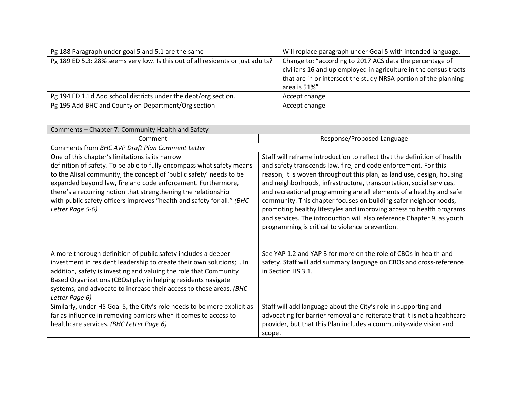| Pg 188 Paragraph under goal 5 and 5.1 are the same                              | Will replace paragraph under Goal 5 with intended language.                                                                                                                                                     |
|---------------------------------------------------------------------------------|-----------------------------------------------------------------------------------------------------------------------------------------------------------------------------------------------------------------|
| Pg 189 ED 5.3: 28% seems very low. Is this out of all residents or just adults? | Change to: "according to 2017 ACS data the percentage of<br>civilians 16 and up employed in agriculture in the census tracts<br>that are in or intersect the study NRSA portion of the planning<br>area is 51%" |
| Pg 194 ED 1.1d Add school districts under the dept/org section.                 | Accept change                                                                                                                                                                                                   |
| Pg 195 Add BHC and County on Department/Org section                             | Accept change                                                                                                                                                                                                   |

| Comments - Chapter 7: Community Health and Safety                                                                                                                                                                                                                                                                                                                                                                               |                                                                                                                                                                                                                                                                                                                                                                                                                                                                                                                                                                                                                                              |  |
|---------------------------------------------------------------------------------------------------------------------------------------------------------------------------------------------------------------------------------------------------------------------------------------------------------------------------------------------------------------------------------------------------------------------------------|----------------------------------------------------------------------------------------------------------------------------------------------------------------------------------------------------------------------------------------------------------------------------------------------------------------------------------------------------------------------------------------------------------------------------------------------------------------------------------------------------------------------------------------------------------------------------------------------------------------------------------------------|--|
| Comment                                                                                                                                                                                                                                                                                                                                                                                                                         | Response/Proposed Language                                                                                                                                                                                                                                                                                                                                                                                                                                                                                                                                                                                                                   |  |
| Comments from BHC AVP Draft Plan Comment Letter                                                                                                                                                                                                                                                                                                                                                                                 |                                                                                                                                                                                                                                                                                                                                                                                                                                                                                                                                                                                                                                              |  |
| One of this chapter's limitations is its narrow<br>definition of safety. To be able to fully encompass what safety means<br>to the Alisal community, the concept of 'public safety' needs to be<br>expanded beyond law, fire and code enforcement. Furthermore,<br>there's a recurring notion that strengthening the relationship<br>with public safety officers improves "health and safety for all." (BHC<br>Letter Page 5-6) | Staff will reframe introduction to reflect that the definition of health<br>and safety transcends law, fire, and code enforcement. For this<br>reason, it is woven throughout this plan, as land use, design, housing<br>and neighborhoods, infrastructure, transportation, social services,<br>and recreational programming are all elements of a healthy and safe<br>community. This chapter focuses on building safer neighborhoods,<br>promoting healthy lifestyles and improving access to health programs<br>and services. The introduction will also reference Chapter 9, as youth<br>programming is critical to violence prevention. |  |
| A more thorough definition of public safety includes a deeper<br>investment in resident leadership to create their own solutions; In<br>addition, safety is investing and valuing the role that Community<br>Based Organizations (CBOs) play in helping residents navigate<br>systems, and advocate to increase their access to these areas. (BHC<br>Letter Page 6)                                                             | See YAP 1.2 and YAP 3 for more on the role of CBOs in health and<br>safety. Staff will add summary language on CBOs and cross-reference<br>in Section HS 3.1.                                                                                                                                                                                                                                                                                                                                                                                                                                                                                |  |
| Similarly, under HS Goal 5, the City's role needs to be more explicit as<br>far as influence in removing barriers when it comes to access to<br>healthcare services. (BHC Letter Page 6)                                                                                                                                                                                                                                        | Staff will add language about the City's role in supporting and<br>advocating for barrier removal and reiterate that it is not a healthcare<br>provider, but that this Plan includes a community-wide vision and<br>scope.                                                                                                                                                                                                                                                                                                                                                                                                                   |  |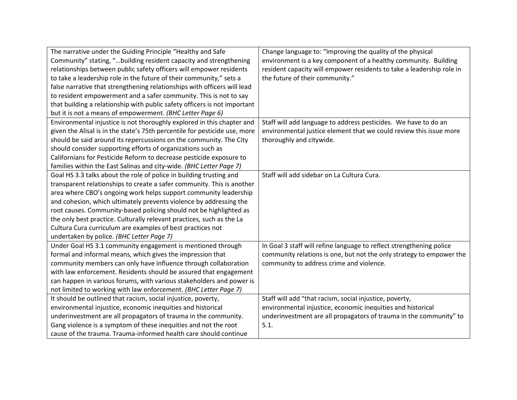| The narrative under the Guiding Principle "Healthy and Safe                | Change language to: "Improving the quality of the physical            |
|----------------------------------------------------------------------------|-----------------------------------------------------------------------|
| Community" stating, "building resident capacity and strengthening          | environment is a key component of a healthy community. Building       |
| relationships between public safety officers will empower residents        | resident capacity will empower residents to take a leadership role in |
| to take a leadership role in the future of their community," sets a        | the future of their community."                                       |
| false narrative that strengthening relationships with officers will lead   |                                                                       |
| to resident empowerment and a safer community. This is not to say          |                                                                       |
| that building a relationship with public safety officers is not important  |                                                                       |
| but it is not a means of empowerment. (BHC Letter Page 6)                  |                                                                       |
| Environmental injustice is not thoroughly explored in this chapter and     | Staff will add language to address pesticides. We have to do an       |
| given the Alisal is in the state's 75th percentile for pesticide use, more | environmental justice element that we could review this issue more    |
| should be said around its repercussions on the community. The City         | thoroughly and citywide.                                              |
| should consider supporting efforts of organizations such as                |                                                                       |
| Californians for Pesticide Reform to decrease pesticide exposure to        |                                                                       |
| families within the East Salinas and city-wide. (BHC Letter Page 7)        |                                                                       |
| Goal HS 3.3 talks about the role of police in building trusting and        | Staff will add sidebar on La Cultura Cura.                            |
| transparent relationships to create a safer community. This is another     |                                                                       |
| area where CBO's ongoing work helps support community leadership           |                                                                       |
| and cohesion, which ultimately prevents violence by addressing the         |                                                                       |
| root causes. Community-based policing should not be highlighted as         |                                                                       |
| the only best practice. Culturally relevant practices, such as the La      |                                                                       |
| Cultura Cura curriculum are examples of best practices not                 |                                                                       |
| undertaken by police. (BHC Letter Page 7)                                  |                                                                       |
| Under Goal HS 3.1 community engagement is mentioned through                | In Goal 3 staff will refine language to reflect strengthening police  |
| formal and informal means, which gives the impression that                 | community relations is one, but not the only strategy to empower the  |
| community members can only have influence through collaboration            | community to address crime and violence.                              |
| with law enforcement. Residents should be assured that engagement          |                                                                       |
| can happen in various forums, with various stakeholders and power is       |                                                                       |
| not limited to working with law enforcement. (BHC Letter Page 7)           |                                                                       |
| It should be outlined that racism, social injustice, poverty,              | Staff will add "that racism, social injustice, poverty,               |
| environmental injustice, economic inequities and historical                | environmental injustice, economic inequities and historical           |
| underinvestment are all propagators of trauma in the community.            | underinvestment are all propagators of trauma in the community" to    |
| Gang violence is a symptom of these inequities and not the root            | 5.1.                                                                  |
| cause of the trauma. Trauma-informed health care should continue           |                                                                       |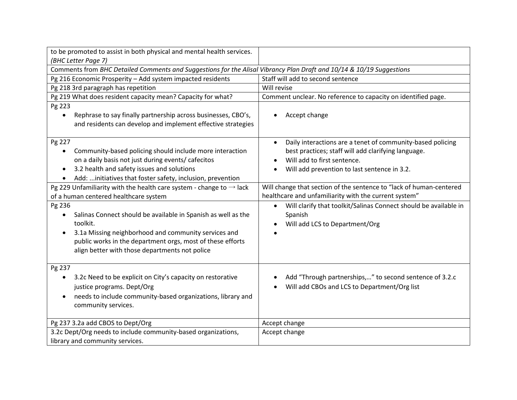| to be promoted to assist in both physical and mental health services.                                                                                                                                                                                                    |                                                                                                                                                                                                                            |
|--------------------------------------------------------------------------------------------------------------------------------------------------------------------------------------------------------------------------------------------------------------------------|----------------------------------------------------------------------------------------------------------------------------------------------------------------------------------------------------------------------------|
| (BHC Letter Page 7)<br>Comments from BHC Detailed Comments and Suggestions for the Alisal Vibrancy Plan Draft and 10/14 & 10/19 Suggestions                                                                                                                              |                                                                                                                                                                                                                            |
| Pg 216 Economic Prosperity - Add system impacted residents                                                                                                                                                                                                               | Staff will add to second sentence                                                                                                                                                                                          |
| Pg 218 3rd paragraph has repetition                                                                                                                                                                                                                                      | Will revise                                                                                                                                                                                                                |
| Pg 219 What does resident capacity mean? Capacity for what?                                                                                                                                                                                                              | Comment unclear. No reference to capacity on identified page.                                                                                                                                                              |
| Pg 223                                                                                                                                                                                                                                                                   |                                                                                                                                                                                                                            |
| Rephrase to say finally partnership across businesses, CBO's,<br>and residents can develop and implement effective strategies                                                                                                                                            | Accept change<br>$\bullet$                                                                                                                                                                                                 |
| Pg 227<br>Community-based policing should include more interaction<br>$\bullet$<br>on a daily basis not just during events/ cafecitos<br>3.2 health and safety issues and solutions<br>$\bullet$<br>Add: initiatives that foster safety, inclusion, prevention           | Daily interactions are a tenet of community-based policing<br>$\bullet$<br>best practices; staff will add clarifying language.<br>Will add to first sentence.<br>$\bullet$<br>Will add prevention to last sentence in 3.2. |
| Pg 229 Unfamiliarity with the health care system - change to $\rightarrow$ lack<br>of a human centered healthcare system                                                                                                                                                 | Will change that section of the sentence to "lack of human-centered<br>healthcare and unfamiliarity with the current system"                                                                                               |
| Pg 236<br>Salinas Connect should be available in Spanish as well as the<br>toolkit.<br>3.1a Missing neighborhood and community services and<br>$\bullet$<br>public works in the department orgs, most of these efforts<br>align better with those departments not police | Will clarify that toolkit/Salinas Connect should be available in<br>$\bullet$<br>Spanish<br>Will add LCS to Department/Org                                                                                                 |
| Pg 237<br>3.2c Need to be explicit on City's capacity on restorative<br>$\bullet$<br>justice programs. Dept/Org<br>needs to include community-based organizations, library and<br>$\bullet$<br>community services.                                                       | Add "Through partnerships," to second sentence of 3.2.c<br>Will add CBOs and LCS to Department/Org list                                                                                                                    |
| Pg 237 3.2a add CBOS to Dept/Org                                                                                                                                                                                                                                         | Accept change                                                                                                                                                                                                              |
| 3.2c Dept/Org needs to include community-based organizations,<br>library and community services.                                                                                                                                                                         | Accept change                                                                                                                                                                                                              |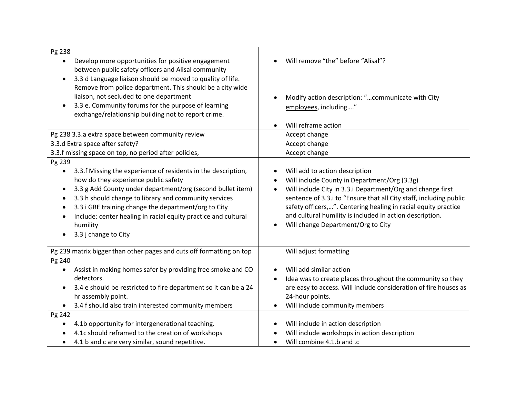| Pg 238<br>Develop more opportunities for positive engagement<br>between public safety officers and Alisal community<br>3.3 d Language liaison should be moved to quality of life.<br>Remove from police department. This should be a city wide<br>liaison, not secluded to one department<br>3.3 e. Community forums for the purpose of learning<br>$\bullet$<br>exchange/relationship building not to report crime.                                     | Will remove "the" before "Alisal"?<br>Modify action description: "communicate with City<br>employees, including"<br>Will reframe action                                                                                                                                                                                                                                                                          |
|----------------------------------------------------------------------------------------------------------------------------------------------------------------------------------------------------------------------------------------------------------------------------------------------------------------------------------------------------------------------------------------------------------------------------------------------------------|------------------------------------------------------------------------------------------------------------------------------------------------------------------------------------------------------------------------------------------------------------------------------------------------------------------------------------------------------------------------------------------------------------------|
| Pg 238 3.3.a extra space between community review                                                                                                                                                                                                                                                                                                                                                                                                        | Accept change                                                                                                                                                                                                                                                                                                                                                                                                    |
| 3.3.d Extra space after safety?                                                                                                                                                                                                                                                                                                                                                                                                                          | Accept change                                                                                                                                                                                                                                                                                                                                                                                                    |
| 3.3.f missing space on top, no period after policies,                                                                                                                                                                                                                                                                                                                                                                                                    | Accept change                                                                                                                                                                                                                                                                                                                                                                                                    |
| Pg 239<br>3.3.f Missing the experience of residents in the description,<br>$\bullet$<br>how do they experience public safety<br>3.3 g Add County under department/org (second bullet item)<br>$\bullet$<br>3.3 h should change to library and community services<br>$\bullet$<br>3.3 i GRE training change the department/org to City<br>$\bullet$<br>Include: center healing in racial equity practice and cultural<br>humility<br>3.3 j change to City | Will add to action description<br>Will include County in Department/Org (3.3g)<br>Will include City in 3.3.i Department/Org and change first<br>$\bullet$<br>sentence of 3.3.i to "Ensure that all City staff, including public<br>safety officers,". Centering healing in racial equity practice<br>and cultural humility is included in action description.<br>Will change Department/Org to City<br>$\bullet$ |
| Pg 239 matrix bigger than other pages and cuts off formatting on top                                                                                                                                                                                                                                                                                                                                                                                     | Will adjust formatting                                                                                                                                                                                                                                                                                                                                                                                           |
| Pg 240<br>Assist in making homes safer by providing free smoke and CO<br>$\bullet$<br>detectors.<br>3.4 e should be restricted to fire department so it can be a 24<br>$\bullet$<br>hr assembly point.<br>3.4 f should also train interested community members<br>$\bullet$                                                                                                                                                                              | Will add similar action<br>Idea was to create places throughout the community so they<br>are easy to access. Will include consideration of fire houses as<br>24-hour points.<br>Will include community members<br>$\bullet$                                                                                                                                                                                      |
| Pg 242<br>4.1b opportunity for intergenerational teaching.<br>٠<br>4.1c should reframed to the creation of workshops<br>4.1 b and c are very similar, sound repetitive.<br>$\bullet$                                                                                                                                                                                                                                                                     | Will include in action description<br>Will include workshops in action description<br>Will combine 4.1.b and .c<br>$\bullet$                                                                                                                                                                                                                                                                                     |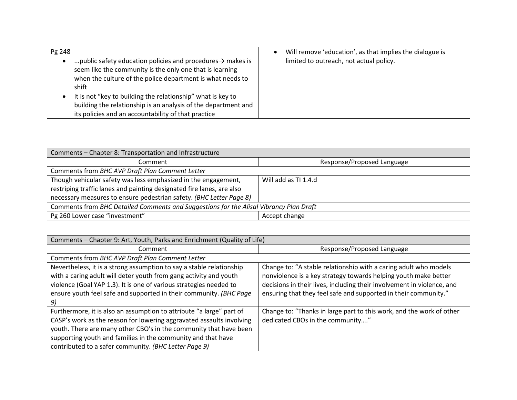| Pg 248 |                                                                                                                                                                                                           | Will remove 'education', as that implies the dialogue is |
|--------|-----------------------------------------------------------------------------------------------------------------------------------------------------------------------------------------------------------|----------------------------------------------------------|
|        | public safety education policies and procedures $\rightarrow$ makes is<br>seem like the community is the only one that is learning<br>when the culture of the police department is what needs to<br>shift | limited to outreach, not actual policy.                  |
|        | It is not "key to building the relationship" what is key to<br>building the relationship is an analysis of the department and<br>its policies and an accountability of that practice                      |                                                          |

| Comments - Chapter 8: Transportation and Infrastructure                                |                            |  |  |
|----------------------------------------------------------------------------------------|----------------------------|--|--|
| Comment                                                                                | Response/Proposed Language |  |  |
| Comments from BHC AVP Draft Plan Comment Letter                                        |                            |  |  |
| Though vehicular safety was less emphasized in the engagement,                         | Will add as TI 1.4.d       |  |  |
| restriping traffic lanes and painting designated fire lanes, are also                  |                            |  |  |
| necessary measures to ensure pedestrian safety. (BHC Letter Page 8)                    |                            |  |  |
| Comments from BHC Detailed Comments and Suggestions for the Alisal Vibrancy Plan Draft |                            |  |  |
| Pg 260 Lower case "investment"                                                         | Accept change              |  |  |

| Comments - Chapter 9: Art, Youth, Parks and Enrichment (Quality of Life)                                                                                                                                                                                                                                                                   |                                                                                                                                                                                                                                                                                  |  |  |  |
|--------------------------------------------------------------------------------------------------------------------------------------------------------------------------------------------------------------------------------------------------------------------------------------------------------------------------------------------|----------------------------------------------------------------------------------------------------------------------------------------------------------------------------------------------------------------------------------------------------------------------------------|--|--|--|
| Comment                                                                                                                                                                                                                                                                                                                                    | Response/Proposed Language                                                                                                                                                                                                                                                       |  |  |  |
| Comments from BHC AVP Draft Plan Comment Letter                                                                                                                                                                                                                                                                                            |                                                                                                                                                                                                                                                                                  |  |  |  |
| Nevertheless, it is a strong assumption to say a stable relationship<br>with a caring adult will deter youth from gang activity and youth<br>violence (Goal YAP 1.3). It is one of various strategies needed to<br>ensure youth feel safe and supported in their community. (BHC Page<br>9)                                                | Change to: "A stable relationship with a caring adult who models<br>nonviolence is a key strategy towards helping youth make better<br>decisions in their lives, including their involvement in violence, and<br>ensuring that they feel safe and supported in their community." |  |  |  |
| Furthermore, it is also an assumption to attribute "a large" part of<br>CASP's work as the reason for lowering aggravated assaults involving<br>youth. There are many other CBO's in the community that have been<br>supporting youth and families in the community and that have<br>contributed to a safer community. (BHC Letter Page 9) | Change to: "Thanks in large part to this work, and the work of other<br>dedicated CBOs in the community"                                                                                                                                                                         |  |  |  |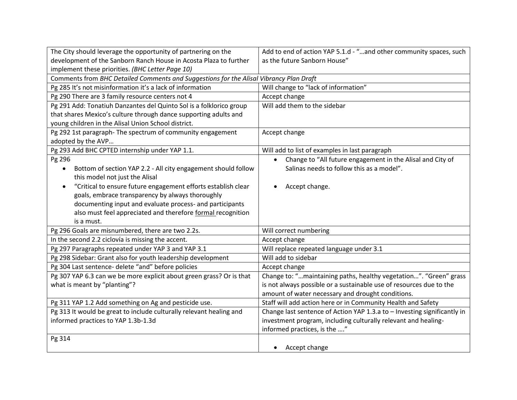| The City should leverage the opportunity of partnering on the                          | Add to end of action YAP 5.1.d - "and other community spaces, such       |  |  |  |
|----------------------------------------------------------------------------------------|--------------------------------------------------------------------------|--|--|--|
| development of the Sanborn Ranch House in Acosta Plaza to further                      | as the future Sanborn House"                                             |  |  |  |
| implement these priorities. (BHC Letter Page 10)                                       |                                                                          |  |  |  |
| Comments from BHC Detailed Comments and Suggestions for the Alisal Vibrancy Plan Draft |                                                                          |  |  |  |
| Pg 285 It's not misinformation it's a lack of information                              | Will change to "lack of information"                                     |  |  |  |
| Pg 290 There are 3 family resource centers not 4                                       | Accept change                                                            |  |  |  |
| Pg 291 Add: Tonatiuh Danzantes del Quinto Sol is a folklorico group                    | Will add them to the sidebar                                             |  |  |  |
| that shares Mexico's culture through dance supporting adults and                       |                                                                          |  |  |  |
| young children in the Alisal Union School district.                                    |                                                                          |  |  |  |
| Pg 292 1st paragraph- The spectrum of community engagement                             | Accept change                                                            |  |  |  |
| adopted by the AVP                                                                     |                                                                          |  |  |  |
| Pg 293 Add BHC CPTED internship under YAP 1.1.                                         | Will add to list of examples in last paragraph                           |  |  |  |
| Pg 296                                                                                 | • Change to "All future engagement in the Alisal and City of             |  |  |  |
| Bottom of section YAP 2.2 - All city engagement should follow                          | Salinas needs to follow this as a model".                                |  |  |  |
| this model not just the Alisal                                                         |                                                                          |  |  |  |
| "Critical to ensure future engagement efforts establish clear                          | Accept change.                                                           |  |  |  |
| goals, embrace transparency by always thoroughly                                       |                                                                          |  |  |  |
| documenting input and evaluate process- and participants                               |                                                                          |  |  |  |
| also must feel appreciated and therefore formal recognition                            |                                                                          |  |  |  |
| is a must.                                                                             |                                                                          |  |  |  |
| Pg 296 Goals are misnumbered, there are two 2.2s.                                      | Will correct numbering                                                   |  |  |  |
| In the second 2.2 ciclovía is missing the accent.                                      | Accept change                                                            |  |  |  |
| Pg 297 Paragraphs repeated under YAP 3 and YAP 3.1                                     | Will replace repeated language under 3.1                                 |  |  |  |
| Pg 298 Sidebar: Grant also for youth leadership development                            | Will add to sidebar                                                      |  |  |  |
| Pg 304 Last sentence- delete "and" before policies                                     | Accept change                                                            |  |  |  |
| Pg 307 YAP 6.3 can we be more explicit about green grass? Or is that                   | Change to: "maintaining paths, healthy vegetation". "Green" grass        |  |  |  |
| what is meant by "planting"?                                                           | is not always possible or a sustainable use of resources due to the      |  |  |  |
|                                                                                        | amount of water necessary and drought conditions.                        |  |  |  |
| Pg 311 YAP 1.2 Add something on Ag and pesticide use.                                  | Staff will add action here or in Community Health and Safety             |  |  |  |
| Pg 313 It would be great to include culturally relevant healing and                    | Change last sentence of Action YAP 1.3.a to - Investing significantly in |  |  |  |
| informed practices to YAP 1.3b-1.3d                                                    | investment program, including culturally relevant and healing-           |  |  |  |
|                                                                                        | informed practices, is the "                                             |  |  |  |
| Pg 314                                                                                 |                                                                          |  |  |  |
|                                                                                        | Accept change                                                            |  |  |  |